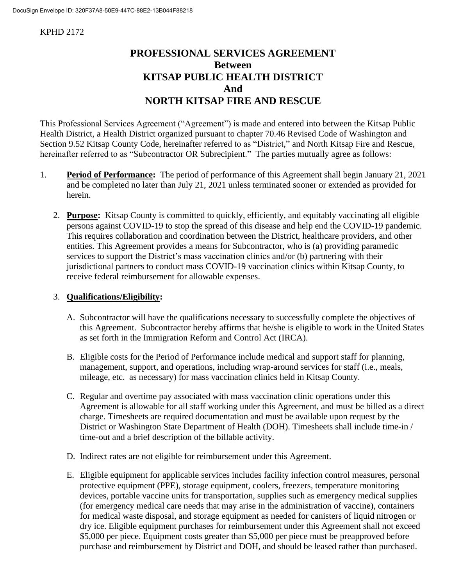#### KPHD 2172

# **PROFESSIONAL SERVICES AGREEMENT Between KITSAP PUBLIC HEALTH DISTRICT And NORTH KITSAP FIRE AND RESCUE**

This Professional Services Agreement ("Agreement") is made and entered into between the Kitsap Public Health District, a Health District organized pursuant to chapter 70.46 Revised Code of Washington and Section 9.52 Kitsap County Code, hereinafter referred to as "District," and North Kitsap Fire and Rescue, hereinafter referred to as "Subcontractor OR Subrecipient." The parties mutually agree as follows:

- 1. **Period of Performance:** The period of performance of this Agreement shall begin January 21, 2021 and be completed no later than July 21, 2021 unless terminated sooner or extended as provided for herein.
	- 2. **Purpose:** Kitsap County is committed to quickly, efficiently, and equitably vaccinating all eligible persons against COVID-19 to stop the spread of this disease and help end the COVID-19 pandemic. This requires collaboration and coordination between the District, healthcare providers, and other entities. This Agreement provides a means for Subcontractor, who is (a) providing paramedic services to support the District's mass vaccination clinics and/or (b) partnering with their jurisdictional partners to conduct mass COVID-19 vaccination clinics within Kitsap County, to receive federal reimbursement for allowable expenses.

### 3. **Qualifications/Eligibility:**

- A. Subcontractor will have the qualifications necessary to successfully complete the objectives of this Agreement. Subcontractor hereby affirms that he/she is eligible to work in the United States as set forth in the Immigration Reform and Control Act (IRCA).
- B. Eligible costs for the Period of Performance include medical and support staff for planning, management, support, and operations, including wrap-around services for staff (i.e., meals, mileage, etc. as necessary) for mass vaccination clinics held in Kitsap County.
- C. Regular and overtime pay associated with mass vaccination clinic operations under this Agreement is allowable for all staff working under this Agreement, and must be billed as a direct charge. Timesheets are required documentation and must be available upon request by the District or Washington State Department of Health (DOH). Timesheets shall include time-in / time-out and a brief description of the billable activity.
- D. Indirect rates are not eligible for reimbursement under this Agreement.
- E. Eligible equipment for applicable services includes facility infection control measures, personal protective equipment (PPE), storage equipment, coolers, freezers, temperature monitoring devices, portable vaccine units for transportation, supplies such as emergency medical supplies (for emergency medical care needs that may arise in the administration of vaccine), containers for medical waste disposal, and storage equipment as needed for canisters of liquid nitrogen or dry ice. Eligible equipment purchases for reimbursement under this Agreement shall not exceed \$5,000 per piece. Equipment costs greater than \$5,000 per piece must be preapproved before purchase and reimbursement by District and DOH, and should be leased rather than purchased.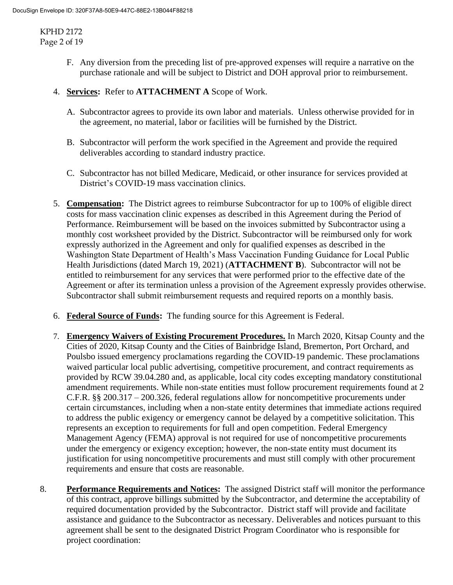KPHD 2172 Page 2 of 19

- F. Any diversion from the preceding list of pre-approved expenses will require a narrative on the purchase rationale and will be subject to District and DOH approval prior to reimbursement.
- 4. **Services:** Refer to **ATTACHMENT A** Scope of Work.
	- A. Subcontractor agrees to provide its own labor and materials. Unless otherwise provided for in the agreement, no material, labor or facilities will be furnished by the District.
	- B. Subcontractor will perform the work specified in the Agreement and provide the required deliverables according to standard industry practice.
	- C. Subcontractor has not billed Medicare, Medicaid, or other insurance for services provided at District's COVID-19 mass vaccination clinics.
- 5. **Compensation:** The District agrees to reimburse Subcontractor for up to 100% of eligible direct costs for mass vaccination clinic expenses as described in this Agreement during the Period of Performance. Reimbursement will be based on the invoices submitted by Subcontractor using a monthly cost worksheet provided by the District. Subcontractor will be reimbursed only for work expressly authorized in the Agreement and only for qualified expenses as described in the Washington State Department of Health's Mass Vaccination Funding Guidance for Local Public Health Jurisdictions (dated March 19, 2021) (**ATTACHMENT B**). Subcontractor will not be entitled to reimbursement for any services that were performed prior to the effective date of the Agreement or after its termination unless a provision of the Agreement expressly provides otherwise. Subcontractor shall submit reimbursement requests and required reports on a monthly basis.
- 6. **Federal Source of Funds:** The funding source for this Agreement is Federal.
- 7. **Emergency Waivers of Existing Procurement Procedures.** In March 2020, Kitsap County and the Cities of 2020, Kitsap County and the Cities of Bainbridge Island, Bremerton, Port Orchard, and Poulsbo issued emergency proclamations regarding the COVID-19 pandemic. These proclamations waived particular local public advertising, competitive procurement, and contract requirements as provided by RCW 39.04.280 and, as applicable, local city codes excepting mandatory constitutional amendment requirements. While non-state entities must follow procurement requirements found at 2 C.F.R. §§ 200.317 – 200.326, federal regulations allow for noncompetitive procurements under certain circumstances, including when a non-state entity determines that immediate actions required to address the public exigency or emergency cannot be delayed by a competitive solicitation. This represents an exception to requirements for full and open competition. Federal Emergency Management Agency (FEMA) approval is not required for use of noncompetitive procurements under the emergency or exigency exception; however, the non-state entity must document its justification for using noncompetitive procurements and must still comply with other procurement requirements and ensure that costs are reasonable.
- 8. **Performance Requirements and Notices:** The assigned District staff will monitor the performance of this contract, approve billings submitted by the Subcontractor, and determine the acceptability of required documentation provided by the Subcontractor. District staff will provide and facilitate assistance and guidance to the Subcontractor as necessary. Deliverables and notices pursuant to this agreement shall be sent to the designated District Program Coordinator who is responsible for project coordination: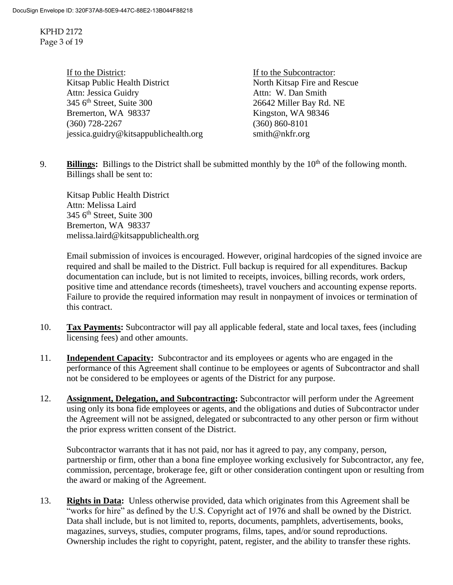KPHD 2172 Page 3 of 19

> If to the District: If to the Subcontractor: Kitsap Public Health District North Kitsap Fire and Rescue Attn: Jessica Guidry<br>
> 345 6<sup>th</sup> Street. Suite 300<br>
> 26642 Miller Bay Rd Bremerton, WA 98337 Kingston, WA 98346 (360) 728-2267 (360) 860-8101 jessica.guidry@kitsappublichealth.org [smith@nkfr.org](mailto:smith@nkfr.org)

26642 Miller Bay Rd. NE

9. **Billings:** Billings to the District shall be submitted monthly by the 10<sup>th</sup> of the following month. Billings shall be sent to:

Kitsap Public Health District Attn: Melissa Laird  $345$  6<sup>th</sup> Street, Suite 300 Bremerton, WA 98337 melissa.laird@kitsappublichealth.org

Email submission of invoices is encouraged. However, original hardcopies of the signed invoice are required and shall be mailed to the District. Full backup is required for all expenditures. Backup documentation can include, but is not limited to receipts, invoices, billing records, work orders, positive time and attendance records (timesheets), travel vouchers and accounting expense reports. Failure to provide the required information may result in nonpayment of invoices or termination of this contract.

- 10. **Tax Payments:** Subcontractor will pay all applicable federal, state and local taxes, fees (including licensing fees) and other amounts.
- 11. **Independent Capacity:** Subcontractor and its employees or agents who are engaged in the performance of this Agreement shall continue to be employees or agents of Subcontractor and shall not be considered to be employees or agents of the District for any purpose.
- 12. **Assignment, Delegation, and Subcontracting:** Subcontractor will perform under the Agreement using only its bona fide employees or agents, and the obligations and duties of Subcontractor under the Agreement will not be assigned, delegated or subcontracted to any other person or firm without the prior express written consent of the District.

Subcontractor warrants that it has not paid, nor has it agreed to pay, any company, person, partnership or firm, other than a bona fine employee working exclusively for Subcontractor, any fee, commission, percentage, brokerage fee, gift or other consideration contingent upon or resulting from the award or making of the Agreement.

13. **Rights in Data:** Unless otherwise provided, data which originates from this Agreement shall be "works for hire" as defined by the U.S. Copyright act of 1976 and shall be owned by the District. Data shall include, but is not limited to, reports, documents, pamphlets, advertisements, books, magazines, surveys, studies, computer programs, films, tapes, and/or sound reproductions. Ownership includes the right to copyright, patent, register, and the ability to transfer these rights.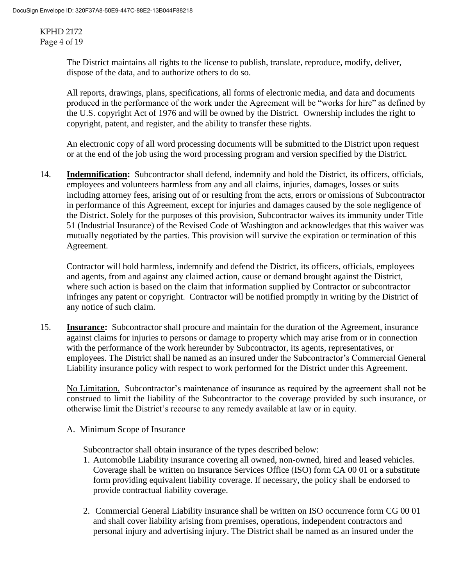KPHD 2172 Page 4 of 19

> The District maintains all rights to the license to publish, translate, reproduce, modify, deliver, dispose of the data, and to authorize others to do so.

All reports, drawings, plans, specifications, all forms of electronic media, and data and documents produced in the performance of the work under the Agreement will be "works for hire" as defined by the U.S. copyright Act of 1976 and will be owned by the District. Ownership includes the right to copyright, patent, and register, and the ability to transfer these rights.

An electronic copy of all word processing documents will be submitted to the District upon request or at the end of the job using the word processing program and version specified by the District.

14. **Indemnification:** Subcontractor shall defend, indemnify and hold the District, its officers, officials, employees and volunteers harmless from any and all claims, injuries, damages, losses or suits including attorney fees, arising out of or resulting from the acts, errors or omissions of Subcontractor in performance of this Agreement, except for injuries and damages caused by the sole negligence of the District. Solely for the purposes of this provision, Subcontractor waives its immunity under Title 51 (Industrial Insurance) of the Revised Code of Washington and acknowledges that this waiver was mutually negotiated by the parties. This provision will survive the expiration or termination of this Agreement.

Contractor will hold harmless, indemnify and defend the District, its officers, officials, employees and agents, from and against any claimed action, cause or demand brought against the District, where such action is based on the claim that information supplied by Contractor or subcontractor infringes any patent or copyright. Contractor will be notified promptly in writing by the District of any notice of such claim.

15. **Insurance:** Subcontractor shall procure and maintain for the duration of the Agreement, insurance against claims for injuries to persons or damage to property which may arise from or in connection with the performance of the work hereunder by Subcontractor, its agents, representatives, or employees. The District shall be named as an insured under the Subcontractor's Commercial General Liability insurance policy with respect to work performed for the District under this Agreement.

No Limitation. Subcontractor's maintenance of insurance as required by the agreement shall not be construed to limit the liability of the Subcontractor to the coverage provided by such insurance, or otherwise limit the District's recourse to any remedy available at law or in equity.

A. Minimum Scope of Insurance

Subcontractor shall obtain insurance of the types described below:

- 1. Automobile Liability insurance covering all owned, non-owned, hired and leased vehicles. Coverage shall be written on Insurance Services Office (ISO) form CA 00 01 or a substitute form providing equivalent liability coverage. If necessary, the policy shall be endorsed to provide contractual liability coverage.
- 2. Commercial General Liability insurance shall be written on ISO occurrence form CG 00 01 and shall cover liability arising from premises, operations, independent contractors and personal injury and advertising injury. The District shall be named as an insured under the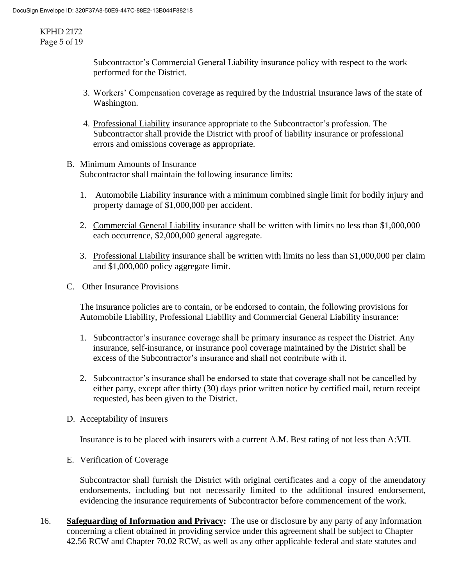KPHD 2172 Page 5 of 19

> Subcontractor's Commercial General Liability insurance policy with respect to the work performed for the District.

- 3. Workers' Compensation coverage as required by the Industrial Insurance laws of the state of Washington.
- 4. Professional Liability insurance appropriate to the Subcontractor's profession. The Subcontractor shall provide the District with proof of liability insurance or professional errors and omissions coverage as appropriate.
- B. Minimum Amounts of Insurance Subcontractor shall maintain the following insurance limits:
	- 1. Automobile Liability insurance with a minimum combined single limit for bodily injury and property damage of \$1,000,000 per accident.
	- 2. Commercial General Liability insurance shall be written with limits no less than \$1,000,000 each occurrence, \$2,000,000 general aggregate.
	- 3. Professional Liability insurance shall be written with limits no less than \$1,000,000 per claim and \$1,000,000 policy aggregate limit.
- C. Other Insurance Provisions

The insurance policies are to contain, or be endorsed to contain, the following provisions for Automobile Liability, Professional Liability and Commercial General Liability insurance:

- 1. Subcontractor's insurance coverage shall be primary insurance as respect the District. Any insurance, self-insurance, or insurance pool coverage maintained by the District shall be excess of the Subcontractor's insurance and shall not contribute with it.
- 2. Subcontractor's insurance shall be endorsed to state that coverage shall not be cancelled by either party, except after thirty (30) days prior written notice by certified mail, return receipt requested, has been given to the District.
- D. Acceptability of Insurers

Insurance is to be placed with insurers with a current A.M. Best rating of not less than A:VII.

E. Verification of Coverage

Subcontractor shall furnish the District with original certificates and a copy of the amendatory endorsements, including but not necessarily limited to the additional insured endorsement, evidencing the insurance requirements of Subcontractor before commencement of the work.

16. **Safeguarding of Information and Privacy:** The use or disclosure by any party of any information concerning a client obtained in providing service under this agreement shall be subject to Chapter 42.56 RCW and Chapter 70.02 RCW, as well as any other applicable federal and state statutes and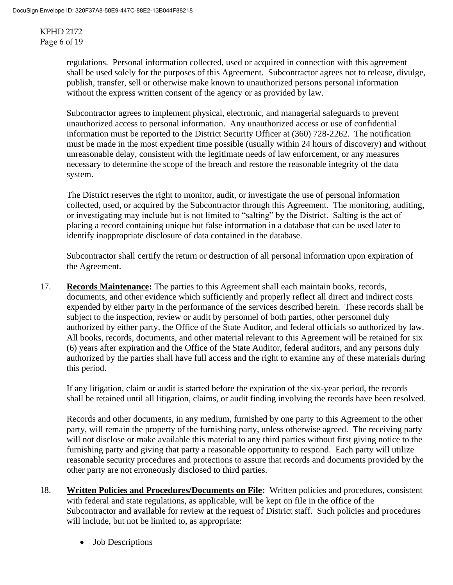KPHD 2172 Page 6 of 19

> regulations. Personal information collected, used or acquired in connection with this agreement shall be used solely for the purposes of this Agreement. Subcontractor agrees not to release, divulge, publish, transfer, sell or otherwise make known to unauthorized persons personal information without the express written consent of the agency or as provided by law.

> Subcontractor agrees to implement physical, electronic, and managerial safeguards to prevent unauthorized access to personal information. Any unauthorized access or use of confidential information must be reported to the District Security Officer at (360) 728-2262. The notification must be made in the most expedient time possible (usually within 24 hours of discovery) and without unreasonable delay, consistent with the legitimate needs of law enforcement, or any measures necessary to determine the scope of the breach and restore the reasonable integrity of the data system.

> The District reserves the right to monitor, audit, or investigate the use of personal information collected, used, or acquired by the Subcontractor through this Agreement. The monitoring, auditing, or investigating may include but is not limited to "salting" by the District. Salting is the act of placing a record containing unique but false information in a database that can be used later to identify inappropriate disclosure of data contained in the database.

Subcontractor shall certify the return or destruction of all personal information upon expiration of the Agreement.

17. **Records Maintenance:** The parties to this Agreement shall each maintain books, records, documents, and other evidence which sufficiently and properly reflect all direct and indirect costs expended by either party in the performance of the services described herein. These records shall be subject to the inspection, review or audit by personnel of both parties, other personnel duly authorized by either party, the Office of the State Auditor, and federal officials so authorized by law. All books, records, documents, and other material relevant to this Agreement will be retained for six (6) years after expiration and the Office of the State Auditor, federal auditors, and any persons duly authorized by the parties shall have full access and the right to examine any of these materials during this period.

If any litigation, claim or audit is started before the expiration of the six-year period, the records shall be retained until all litigation, claims, or audit finding involving the records have been resolved.

Records and other documents, in any medium, furnished by one party to this Agreement to the other party, will remain the property of the furnishing party, unless otherwise agreed. The receiving party will not disclose or make available this material to any third parties without first giving notice to the furnishing party and giving that party a reasonable opportunity to respond. Each party will utilize reasonable security procedures and protections to assure that records and documents provided by the other party are not erroneously disclosed to third parties.

- 18. **Written Policies and Procedures/Documents on File:** Written policies and procedures, consistent with federal and state regulations, as applicable, will be kept on file in the office of the Subcontractor and available for review at the request of District staff. Such policies and procedures will include, but not be limited to, as appropriate:
	- Job Descriptions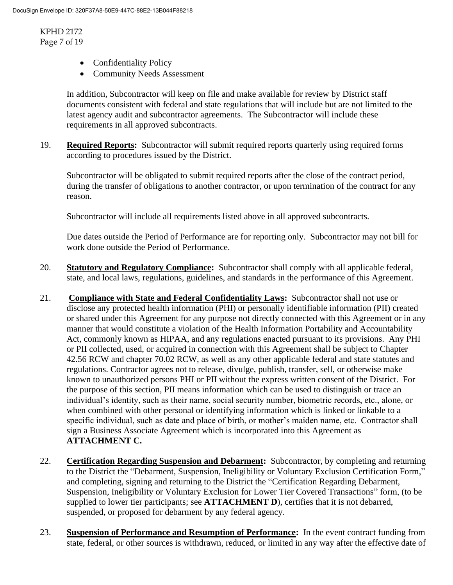KPHD 2172 Page 7 of 19

- Confidentiality Policy
- Community Needs Assessment

In addition, Subcontractor will keep on file and make available for review by District staff documents consistent with federal and state regulations that will include but are not limited to the latest agency audit and subcontractor agreements. The Subcontractor will include these requirements in all approved subcontracts.

19. **Required Reports:** Subcontractor will submit required reports quarterly using required forms according to procedures issued by the District.

Subcontractor will be obligated to submit required reports after the close of the contract period, during the transfer of obligations to another contractor, or upon termination of the contract for any reason.

Subcontractor will include all requirements listed above in all approved subcontracts.

Due dates outside the Period of Performance are for reporting only. Subcontractor may not bill for work done outside the Period of Performance.

- 20. **Statutory and Regulatory Compliance:** Subcontractor shall comply with all applicable federal, state, and local laws, regulations, guidelines, and standards in the performance of this Agreement.
- 21. **Compliance with State and Federal Confidentiality Laws:** Subcontractor shall not use or disclose any protected health information (PHI) or personally identifiable information (PII) created or shared under this Agreement for any purpose not directly connected with this Agreement or in any manner that would constitute a violation of the Health Information Portability and Accountability Act, commonly known as HIPAA, and any regulations enacted pursuant to its provisions. Any PHI or PII collected, used, or acquired in connection with this Agreement shall be subject to Chapter 42.56 RCW and chapter 70.02 RCW, as well as any other applicable federal and state statutes and regulations. Contractor agrees not to release, divulge, publish, transfer, sell, or otherwise make known to unauthorized persons PHI or PII without the express written consent of the District. For the purpose of this section, PII means information which can be used to distinguish or trace an individual's identity, such as their name, social security number, biometric records, etc., alone, or when combined with other personal or identifying information which is linked or linkable to a specific individual, such as date and place of birth, or mother's maiden name, etc. Contractor shall sign a Business Associate Agreement which is incorporated into this Agreement as **ATTACHMENT C.**
- 22. **Certification Regarding Suspension and Debarment:** Subcontractor, by completing and returning to the District the "Debarment, Suspension, Ineligibility or Voluntary Exclusion Certification Form," and completing, signing and returning to the District the "Certification Regarding Debarment, Suspension, Ineligibility or Voluntary Exclusion for Lower Tier Covered Transactions" form, (to be supplied to lower tier participants; see **ATTACHMENT D**), certifies that it is not debarred, suspended, or proposed for debarment by any federal agency.
- 23. **Suspension of Performance and Resumption of Performance:** In the event contract funding from state, federal, or other sources is withdrawn, reduced, or limited in any way after the effective date of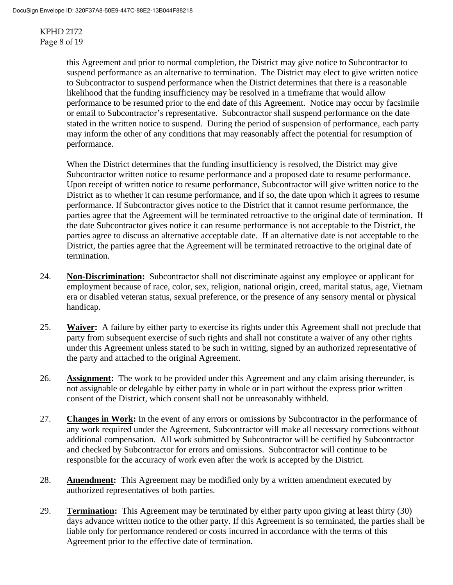KPHD 2172 Page 8 of 19

> this Agreement and prior to normal completion, the District may give notice to Subcontractor to suspend performance as an alternative to termination. The District may elect to give written notice to Subcontractor to suspend performance when the District determines that there is a reasonable likelihood that the funding insufficiency may be resolved in a timeframe that would allow performance to be resumed prior to the end date of this Agreement. Notice may occur by facsimile or email to Subcontractor's representative. Subcontractor shall suspend performance on the date stated in the written notice to suspend. During the period of suspension of performance, each party may inform the other of any conditions that may reasonably affect the potential for resumption of performance.

When the District determines that the funding insufficiency is resolved, the District may give Subcontractor written notice to resume performance and a proposed date to resume performance. Upon receipt of written notice to resume performance, Subcontractor will give written notice to the District as to whether it can resume performance, and if so, the date upon which it agrees to resume performance. If Subcontractor gives notice to the District that it cannot resume performance, the parties agree that the Agreement will be terminated retroactive to the original date of termination. If the date Subcontractor gives notice it can resume performance is not acceptable to the District, the parties agree to discuss an alternative acceptable date. If an alternative date is not acceptable to the District, the parties agree that the Agreement will be terminated retroactive to the original date of termination.

- 24. **Non-Discrimination:** Subcontractor shall not discriminate against any employee or applicant for employment because of race, color, sex, religion, national origin, creed, marital status, age, Vietnam era or disabled veteran status, sexual preference, or the presence of any sensory mental or physical handicap.
- 25. **Waiver:** A failure by either party to exercise its rights under this Agreement shall not preclude that party from subsequent exercise of such rights and shall not constitute a waiver of any other rights under this Agreement unless stated to be such in writing, signed by an authorized representative of the party and attached to the original Agreement.
- 26. **Assignment:** The work to be provided under this Agreement and any claim arising thereunder, is not assignable or delegable by either party in whole or in part without the express prior written consent of the District, which consent shall not be unreasonably withheld.
- 27. **Changes in Work:** In the event of any errors or omissions by Subcontractor in the performance of any work required under the Agreement, Subcontractor will make all necessary corrections without additional compensation. All work submitted by Subcontractor will be certified by Subcontractor and checked by Subcontractor for errors and omissions. Subcontractor will continue to be responsible for the accuracy of work even after the work is accepted by the District.
- 28. **Amendment:** This Agreement may be modified only by a written amendment executed by authorized representatives of both parties.
- 29. **Termination:** This Agreement may be terminated by either party upon giving at least thirty (30) days advance written notice to the other party. If this Agreement is so terminated, the parties shall be liable only for performance rendered or costs incurred in accordance with the terms of this Agreement prior to the effective date of termination.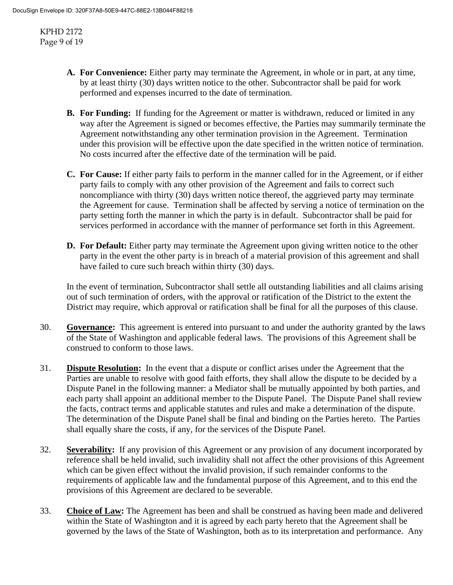KPHD 2172 Page 9 of 19

- **A. For Convenience:** Either party may terminate the Agreement, in whole or in part, at any time, by at least thirty (30) days written notice to the other. Subcontractor shall be paid for work performed and expenses incurred to the date of termination.
- **B. For Funding:** If funding for the Agreement or matter is withdrawn, reduced or limited in any way after the Agreement is signed or becomes effective, the Parties may summarily terminate the Agreement notwithstanding any other termination provision in the Agreement. Termination under this provision will be effective upon the date specified in the written notice of termination. No costs incurred after the effective date of the termination will be paid.
- **C. For Cause:** If either party fails to perform in the manner called for in the Agreement, or if either party fails to comply with any other provision of the Agreement and fails to correct such noncompliance with thirty (30) days written notice thereof, the aggrieved party may terminate the Agreement for cause. Termination shall be affected by serving a notice of termination on the party setting forth the manner in which the party is in default. Subcontractor shall be paid for services performed in accordance with the manner of performance set forth in this Agreement.
- **D.** For Default: Either party may terminate the Agreement upon giving written notice to the other party in the event the other party is in breach of a material provision of this agreement and shall have failed to cure such breach within thirty (30) days.

In the event of termination, Subcontractor shall settle all outstanding liabilities and all claims arising out of such termination of orders, with the approval or ratification of the District to the extent the District may require, which approval or ratification shall be final for all the purposes of this clause.

- 30. **Governance:** This agreement is entered into pursuant to and under the authority granted by the laws of the State of Washington and applicable federal laws. The provisions of this Agreement shall be construed to conform to those laws.
- 31. **Dispute Resolution:** In the event that a dispute or conflict arises under the Agreement that the Parties are unable to resolve with good faith efforts, they shall allow the dispute to be decided by a Dispute Panel in the following manner: a Mediator shall be mutually appointed by both parties, and each party shall appoint an additional member to the Dispute Panel. The Dispute Panel shall review the facts, contract terms and applicable statutes and rules and make a determination of the dispute. The determination of the Dispute Panel shall be final and binding on the Parties hereto. The Parties shall equally share the costs, if any, for the services of the Dispute Panel.
- 32. **Severability:** If any provision of this Agreement or any provision of any document incorporated by reference shall be held invalid, such invalidity shall not affect the other provisions of this Agreement which can be given effect without the invalid provision, if such remainder conforms to the requirements of applicable law and the fundamental purpose of this Agreement, and to this end the provisions of this Agreement are declared to be severable.
- 33. **Choice of Law:** The Agreement has been and shall be construed as having been made and delivered within the State of Washington and it is agreed by each party hereto that the Agreement shall be governed by the laws of the State of Washington, both as to its interpretation and performance. Any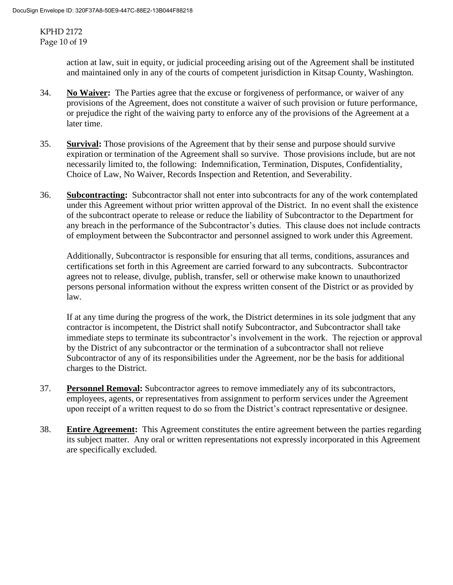KPHD 2172 Page 10 of 19

> action at law, suit in equity, or judicial proceeding arising out of the Agreement shall be instituted and maintained only in any of the courts of competent jurisdiction in Kitsap County, Washington.

- 34. **No Waiver:** The Parties agree that the excuse or forgiveness of performance, or waiver of any provisions of the Agreement, does not constitute a waiver of such provision or future performance, or prejudice the right of the waiving party to enforce any of the provisions of the Agreement at a later time.
- 35. **Survival:** Those provisions of the Agreement that by their sense and purpose should survive expiration or termination of the Agreement shall so survive. Those provisions include, but are not necessarily limited to, the following: Indemnification, Termination, Disputes, Confidentiality, Choice of Law, No Waiver, Records Inspection and Retention, and Severability.
- 36. **Subcontracting:** Subcontractor shall not enter into subcontracts for any of the work contemplated under this Agreement without prior written approval of the District. In no event shall the existence of the subcontract operate to release or reduce the liability of Subcontractor to the Department for any breach in the performance of the Subcontractor's duties. This clause does not include contracts of employment between the Subcontractor and personnel assigned to work under this Agreement.

Additionally, Subcontractor is responsible for ensuring that all terms, conditions, assurances and certifications set forth in this Agreement are carried forward to any subcontracts. Subcontractor agrees not to release, divulge, publish, transfer, sell or otherwise make known to unauthorized persons personal information without the express written consent of the District or as provided by law.

If at any time during the progress of the work, the District determines in its sole judgment that any contractor is incompetent, the District shall notify Subcontractor, and Subcontractor shall take immediate steps to terminate its subcontractor's involvement in the work. The rejection or approval by the District of any subcontractor or the termination of a subcontractor shall not relieve Subcontractor of any of its responsibilities under the Agreement, nor be the basis for additional charges to the District.

- 37. **Personnel Removal:** Subcontractor agrees to remove immediately any of its subcontractors, employees, agents, or representatives from assignment to perform services under the Agreement upon receipt of a written request to do so from the District's contract representative or designee.
- 38. **Entire Agreement:** This Agreement constitutes the entire agreement between the parties regarding its subject matter. Any oral or written representations not expressly incorporated in this Agreement are specifically excluded.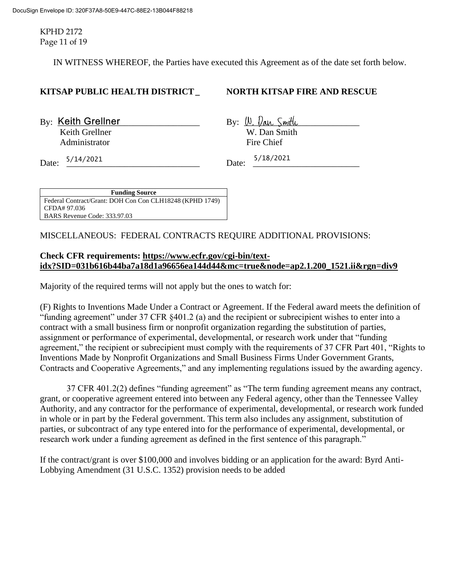KPHD 2172 Page 11 of 19

IN WITNESS WHEREOF, the Parties have executed this Agreement as of the date set forth below.

#### **KITSAP PUBLIC HEALTH DISTRICT\_ NORTH KITSAP FIRE AND RESCUE**

 $B_y$ : Keith Grellner  $B_y$ :  $\langle v, v \rangle$  and  $S$  with Keith Grellner W. Dan Smith Administrator Fire Chief

Date:  $\frac{5/14/2021}{2}$  Date:  $\frac{5/16/2021}{2}$ 5/14/2021 Date: 5/18/2021

**Funding Source** Federal Contract/Grant: DOH Con Con CLH18248 (KPHD 1749) CFDA# 97.036 BARS Revenue Code: 333.97.03

MISCELLANEOUS: FEDERAL CONTRACTS REQUIRE ADDITIONAL PROVISIONS:

#### **Check CFR requirements: [https://www.ecfr.gov/cgi-bin/text](https://www.ecfr.gov/cgi-bin/text-idx?SID=031b616b44ba7a18d1a96656ea144d44&mc=true&node=ap2.1.200_1521.ii&rgn=div9)[idx?SID=031b616b44ba7a18d1a96656ea144d44&mc=true&node=ap2.1.200\\_1521.ii&rgn=div9](https://www.ecfr.gov/cgi-bin/text-idx?SID=031b616b44ba7a18d1a96656ea144d44&mc=true&node=ap2.1.200_1521.ii&rgn=div9)**

Majority of the required terms will not apply but the ones to watch for:

(F) Rights to Inventions Made Under a Contract or Agreement. If the Federal award meets the definition of "funding agreement" under 37 CFR §401.2 (a) and the recipient or subrecipient wishes to enter into a contract with a small business firm or nonprofit organization regarding the substitution of parties, assignment or performance of experimental, developmental, or research work under that "funding agreement," the recipient or subrecipient must comply with the requirements of 37 CFR Part 401, "Rights to Inventions Made by Nonprofit Organizations and Small Business Firms Under Government Grants, Contracts and Cooperative Agreements," and any implementing regulations issued by the awarding agency.

37 CFR 401.2(2) defines "funding agreement" as "The term funding agreement means any contract, grant, or cooperative agreement entered into between any Federal agency, other than the Tennessee Valley Authority, and any contractor for the performance of experimental, developmental, or research work funded in whole or in part by the Federal government. This term also includes any assignment, substitution of parties, or subcontract of any type entered into for the performance of experimental, developmental, or research work under a funding agreement as defined in the first sentence of this paragraph."

If the contract/grant is over \$100,000 and involves bidding or an application for the award: Byrd Anti-Lobbying Amendment (31 U.S.C. 1352) provision needs to be added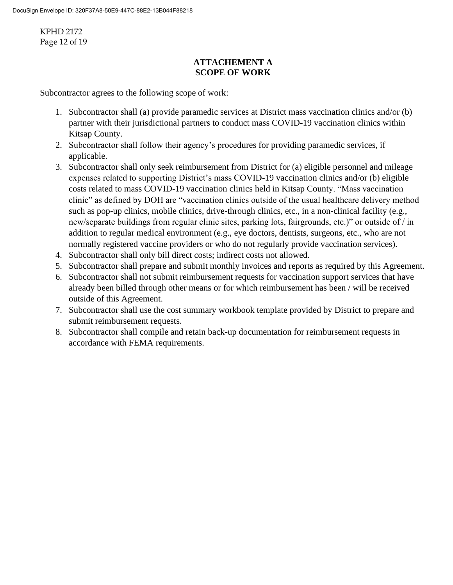KPHD 2172 Page 12 of 19

## **ATTACHEMENT A SCOPE OF WORK**

Subcontractor agrees to the following scope of work:

- 1. Subcontractor shall (a) provide paramedic services at District mass vaccination clinics and/or (b) partner with their jurisdictional partners to conduct mass COVID-19 vaccination clinics within Kitsap County.
- 2. Subcontractor shall follow their agency's procedures for providing paramedic services, if applicable.
- 3. Subcontractor shall only seek reimbursement from District for (a) eligible personnel and mileage expenses related to supporting District's mass COVID-19 vaccination clinics and/or (b) eligible costs related to mass COVID-19 vaccination clinics held in Kitsap County. "Mass vaccination clinic" as defined by DOH are "vaccination clinics outside of the usual healthcare delivery method such as pop-up clinics, mobile clinics, drive-through clinics, etc., in a non-clinical facility (e.g., new/separate buildings from regular clinic sites, parking lots, fairgrounds, etc.)" or outside of / in addition to regular medical environment (e.g., eye doctors, dentists, surgeons, etc., who are not normally registered vaccine providers or who do not regularly provide vaccination services).
- 4. Subcontractor shall only bill direct costs; indirect costs not allowed.
- 5. Subcontractor shall prepare and submit monthly invoices and reports as required by this Agreement.
- 6. Subcontractor shall not submit reimbursement requests for vaccination support services that have already been billed through other means or for which reimbursement has been / will be received outside of this Agreement.
- 7. Subcontractor shall use the cost summary workbook template provided by District to prepare and submit reimbursement requests.
- 8. Subcontractor shall compile and retain back-up documentation for reimbursement requests in accordance with FEMA requirements.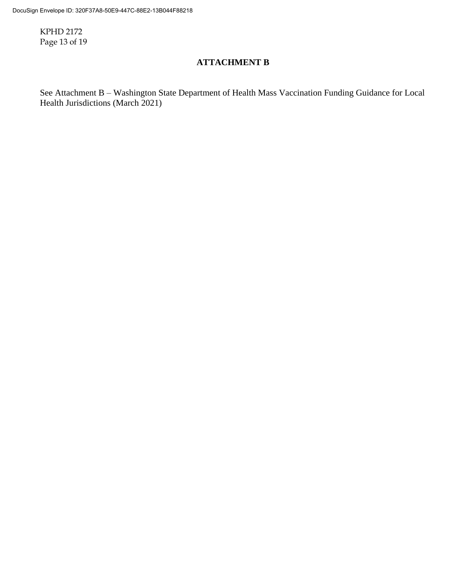KPHD 2172 Page 13 of 19

# **ATTACHMENT B**

See Attachment B – Washington State Department of Health Mass Vaccination Funding Guidance for Local Health Jurisdictions (March 2021)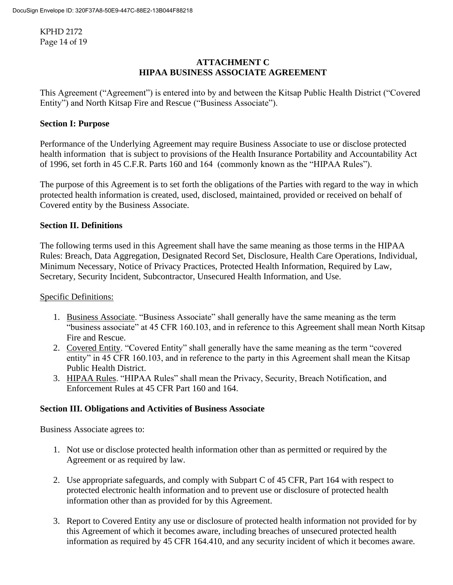KPHD 2172 Page 14 of 19

## **ATTACHMENT C HIPAA BUSINESS ASSOCIATE AGREEMENT**

This Agreement ("Agreement") is entered into by and between the Kitsap Public Health District ("Covered Entity") and North Kitsap Fire and Rescue ("Business Associate").

### **Section I: Purpose**

Performance of the Underlying Agreement may require Business Associate to use or disclose protected health information that is subject to provisions of the Health Insurance Portability and Accountability Act of 1996, set forth in 45 C.F.R. Parts 160 and 164 (commonly known as the "HIPAA Rules").

The purpose of this Agreement is to set forth the obligations of the Parties with regard to the way in which protected health information is created, used, disclosed, maintained, provided or received on behalf of Covered entity by the Business Associate.

#### **Section II. Definitions**

The following terms used in this Agreement shall have the same meaning as those terms in the HIPAA Rules: Breach, Data Aggregation, Designated Record Set, Disclosure, Health Care Operations, Individual, Minimum Necessary, Notice of Privacy Practices, Protected Health Information, Required by Law, Secretary, Security Incident, Subcontractor, Unsecured Health Information, and Use.

#### Specific Definitions:

- 1. Business Associate. "Business Associate" shall generally have the same meaning as the term "business associate" at 45 CFR 160.103, and in reference to this Agreement shall mean North Kitsap Fire and Rescue.
- 2. Covered Entity. "Covered Entity" shall generally have the same meaning as the term "covered entity" in 45 CFR 160.103, and in reference to the party in this Agreement shall mean the Kitsap Public Health District.
- 3. HIPAA Rules. "HIPAA Rules" shall mean the Privacy, Security, Breach Notification, and Enforcement Rules at 45 CFR Part 160 and 164.

### **Section III. Obligations and Activities of Business Associate**

Business Associate agrees to:

- 1. Not use or disclose protected health information other than as permitted or required by the Agreement or as required by law.
- 2. Use appropriate safeguards, and comply with Subpart C of 45 CFR, Part 164 with respect to protected electronic health information and to prevent use or disclosure of protected health information other than as provided for by this Agreement.
- 3. Report to Covered Entity any use or disclosure of protected health information not provided for by this Agreement of which it becomes aware, including breaches of unsecured protected health information as required by 45 CFR 164.410, and any security incident of which it becomes aware.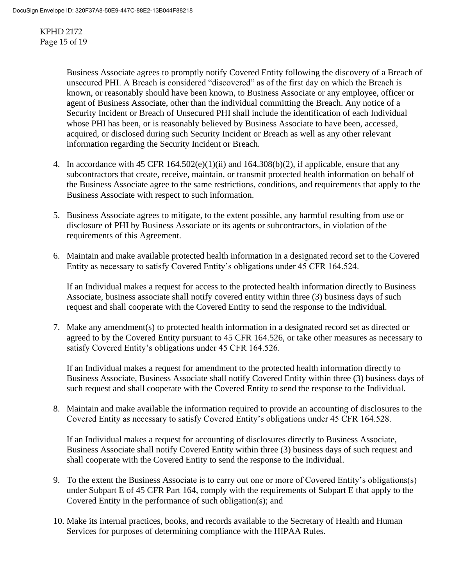KPHD 2172 Page 15 of 19

> Business Associate agrees to promptly notify Covered Entity following the discovery of a Breach of unsecured PHI. A Breach is considered "discovered" as of the first day on which the Breach is known, or reasonably should have been known, to Business Associate or any employee, officer or agent of Business Associate, other than the individual committing the Breach. Any notice of a Security Incident or Breach of Unsecured PHI shall include the identification of each Individual whose PHI has been, or is reasonably believed by Business Associate to have been, accessed, acquired, or disclosed during such Security Incident or Breach as well as any other relevant information regarding the Security Incident or Breach.

- 4. In accordance with 45 CFR  $164.502(e)(1)(ii)$  and  $164.308(b)(2)$ , if applicable, ensure that any subcontractors that create, receive, maintain, or transmit protected health information on behalf of the Business Associate agree to the same restrictions, conditions, and requirements that apply to the Business Associate with respect to such information.
- 5. Business Associate agrees to mitigate, to the extent possible, any harmful resulting from use or disclosure of PHI by Business Associate or its agents or subcontractors, in violation of the requirements of this Agreement.
- 6. Maintain and make available protected health information in a designated record set to the Covered Entity as necessary to satisfy Covered Entity's obligations under 45 CFR 164.524.

If an Individual makes a request for access to the protected health information directly to Business Associate, business associate shall notify covered entity within three (3) business days of such request and shall cooperate with the Covered Entity to send the response to the Individual.

7. Make any amendment(s) to protected health information in a designated record set as directed or agreed to by the Covered Entity pursuant to 45 CFR 164.526, or take other measures as necessary to satisfy Covered Entity's obligations under 45 CFR 164.526.

If an Individual makes a request for amendment to the protected health information directly to Business Associate, Business Associate shall notify Covered Entity within three (3) business days of such request and shall cooperate with the Covered Entity to send the response to the Individual.

8. Maintain and make available the information required to provide an accounting of disclosures to the Covered Entity as necessary to satisfy Covered Entity's obligations under 45 CFR 164.528.

If an Individual makes a request for accounting of disclosures directly to Business Associate, Business Associate shall notify Covered Entity within three (3) business days of such request and shall cooperate with the Covered Entity to send the response to the Individual.

- 9. To the extent the Business Associate is to carry out one or more of Covered Entity's obligations(s) under Subpart E of 45 CFR Part 164, comply with the requirements of Subpart E that apply to the Covered Entity in the performance of such obligation(s); and
- 10. Make its internal practices, books, and records available to the Secretary of Health and Human Services for purposes of determining compliance with the HIPAA Rules.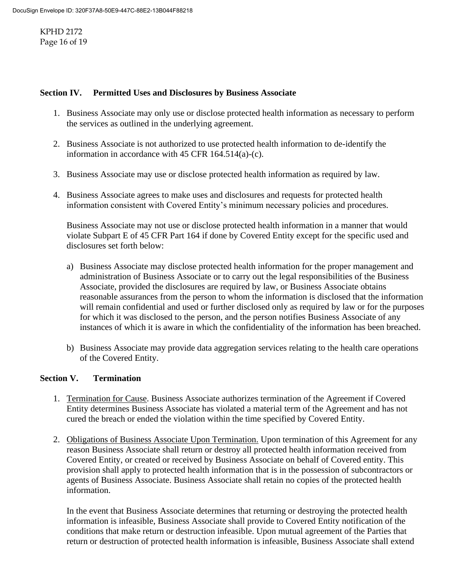KPHD 2172 Page 16 of 19

#### **Section IV. Permitted Uses and Disclosures by Business Associate**

- 1. Business Associate may only use or disclose protected health information as necessary to perform the services as outlined in the underlying agreement.
- 2. Business Associate is not authorized to use protected health information to de-identify the information in accordance with 45 CFR 164.514(a)-(c).
- 3. Business Associate may use or disclose protected health information as required by law.
- 4. Business Associate agrees to make uses and disclosures and requests for protected health information consistent with Covered Entity's minimum necessary policies and procedures.

Business Associate may not use or disclose protected health information in a manner that would violate Subpart E of 45 CFR Part 164 if done by Covered Entity except for the specific used and disclosures set forth below:

- a) Business Associate may disclose protected health information for the proper management and administration of Business Associate or to carry out the legal responsibilities of the Business Associate, provided the disclosures are required by law, or Business Associate obtains reasonable assurances from the person to whom the information is disclosed that the information will remain confidential and used or further disclosed only as required by law or for the purposes for which it was disclosed to the person, and the person notifies Business Associate of any instances of which it is aware in which the confidentiality of the information has been breached.
- b) Business Associate may provide data aggregation services relating to the health care operations of the Covered Entity.

#### **Section V. Termination**

- 1. Termination for Cause. Business Associate authorizes termination of the Agreement if Covered Entity determines Business Associate has violated a material term of the Agreement and has not cured the breach or ended the violation within the time specified by Covered Entity.
- 2. Obligations of Business Associate Upon Termination. Upon termination of this Agreement for any reason Business Associate shall return or destroy all protected health information received from Covered Entity, or created or received by Business Associate on behalf of Covered entity. This provision shall apply to protected health information that is in the possession of subcontractors or agents of Business Associate. Business Associate shall retain no copies of the protected health information.

In the event that Business Associate determines that returning or destroying the protected health information is infeasible, Business Associate shall provide to Covered Entity notification of the conditions that make return or destruction infeasible. Upon mutual agreement of the Parties that return or destruction of protected health information is infeasible, Business Associate shall extend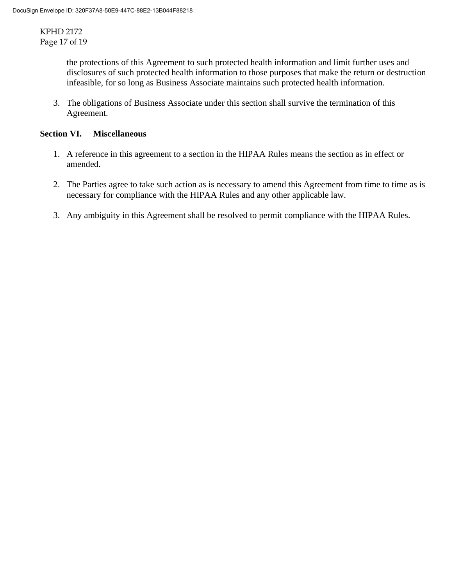KPHD 2172 Page 17 of 19

> the protections of this Agreement to such protected health information and limit further uses and disclosures of such protected health information to those purposes that make the return or destruction infeasible, for so long as Business Associate maintains such protected health information.

3. The obligations of Business Associate under this section shall survive the termination of this Agreement.

#### **Section VI. Miscellaneous**

- 1. A reference in this agreement to a section in the HIPAA Rules means the section as in effect or amended.
- 2. The Parties agree to take such action as is necessary to amend this Agreement from time to time as is necessary for compliance with the HIPAA Rules and any other applicable law.
- 3. Any ambiguity in this Agreement shall be resolved to permit compliance with the HIPAA Rules.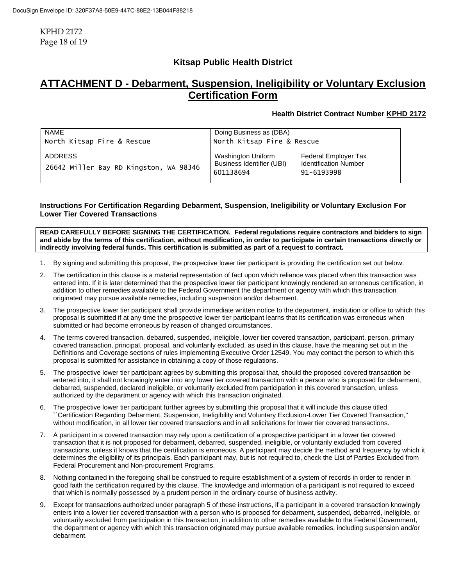KPHD 2172 Page 18 of 19

## **Kitsap Public Health District**

# **ATTACHMENT D - Debarment, Suspension, Ineligibility or Voluntary Exclusion Certification Form**

#### **Health District Contract Number KPHD 2172**

| NAME                                                     | Doing Business as (DBA)                                      |                                                                    |
|----------------------------------------------------------|--------------------------------------------------------------|--------------------------------------------------------------------|
| North Kitsap Fire & Rescue                               | North Kitsap Fire & Rescue                                   |                                                                    |
| <b>ADDRESS</b><br>26642 Miller Bay RD Kingston, WA 98346 | Washington Uniform<br>Business Identifier (UBI)<br>601138694 | Federal Employer Tax<br><b>Identification Number</b><br>91-6193998 |

#### **Instructions For Certification Regarding Debarment, Suspension, Ineligibility or Voluntary Exclusion For Lower Tier Covered Transactions**

**READ CAREFULLY BEFORE SIGNING THE CERTIFICATION. Federal regulations require contractors and bidders to sign and abide by the terms of this certification, without modification, in order to participate in certain transactions directly or indirectly involving federal funds. This certification is submitted as part of a request to contract.**

- 1. By signing and submitting this proposal, the prospective lower tier participant is providing the certification set out below.
- 2. The certification in this clause is a material representation of fact upon which reliance was placed when this transaction was entered into. If it is later determined that the prospective lower tier participant knowingly rendered an erroneous certification, in addition to other remedies available to the Federal Government the department or agency with which this transaction originated may pursue available remedies, including suspension and/or debarment.
- 3. The prospective lower tier participant shall provide immediate written notice to the department, institution or office to which this proposal is submitted if at any time the prospective lower tier participant learns that its certification was erroneous when submitted or had become erroneous by reason of changed circumstances.
- 4. The terms covered transaction, debarred, suspended, ineligible, lower tier covered transaction, participant, person, primary covered transaction, principal, proposal, and voluntarily excluded, as used in this clause, have the meaning set out in the Definitions and Coverage sections of rules implementing Executive Order 12549. You may contact the person to which this proposal is submitted for assistance in obtaining a copy of those regulations.
- 5. The prospective lower tier participant agrees by submitting this proposal that, should the proposed covered transaction be entered into, it shall not knowingly enter into any lower tier covered transaction with a person who is proposed for debarment, debarred, suspended, declared ineligible, or voluntarily excluded from participation in this covered transaction, unless authorized by the department or agency with which this transaction originated.
- 6. The prospective lower tier participant further agrees by submitting this proposal that it will include this clause titled ``Certification Regarding Debarment, Suspension, Ineligibility and Voluntary Exclusion-Lower Tier Covered Transaction,'' without modification, in all lower tier covered transactions and in all solicitations for lower tier covered transactions.
- 7. A participant in a covered transaction may rely upon a certification of a prospective participant in a lower tier covered transaction that it is not proposed for debarment, debarred, suspended, ineligible, or voluntarily excluded from covered transactions, unless it knows that the certification is erroneous. A participant may decide the method and frequency by which it determines the eligibility of its principals. Each participant may, but is not required to, check the List of Parties Excluded from Federal Procurement and Non-procurement Programs.
- 8. Nothing contained in the foregoing shall be construed to require establishment of a system of records in order to render in good faith the certification required by this clause. The knowledge and information of a participant is not required to exceed that which is normally possessed by a prudent person in the ordinary course of business activity.
- Except for transactions authorized under paragraph 5 of these instructions, if a participant in a covered transaction knowingly enters into a lower tier covered transaction with a person who is proposed for debarment, suspended, debarred, ineligible, or voluntarily excluded from participation in this transaction, in addition to other remedies available to the Federal Government, the department or agency with which this transaction originated may pursue available remedies, including suspension and/or debarment.